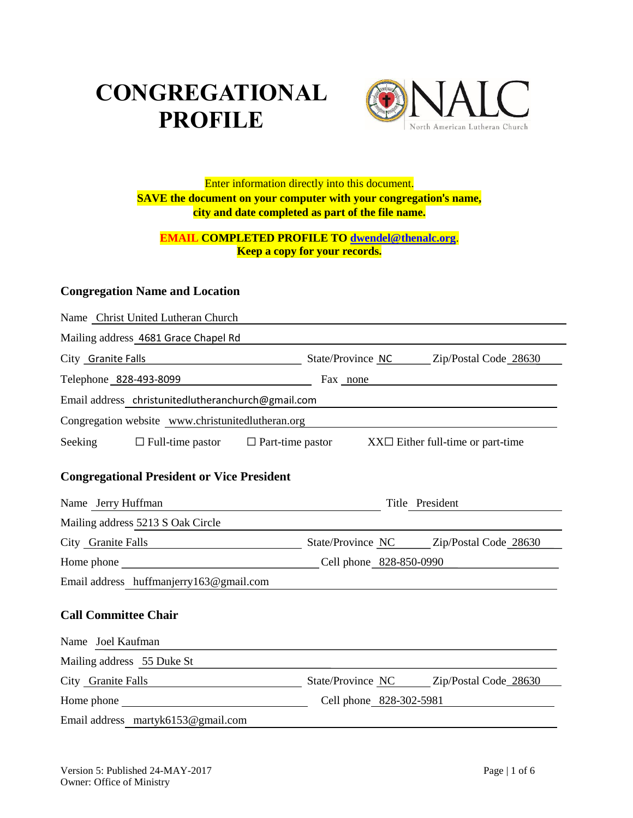# **CONGREGATIONAL PROFILE**



Enter information directly into this document. **SAVE the document on your computer with your congregation**'**s name, city and date completed as part of the file name.**

## **EMAIL COMPLETED PROFILE TO [dwendel@thenalc.org](mailto:dwendel@thenalc.org)**. **Keep a copy for your records.**

# **Congregation Name and Location**

| Name Christ United Lutheran Church                                                                                                              |                                                                   |  |  |  |
|-------------------------------------------------------------------------------------------------------------------------------------------------|-------------------------------------------------------------------|--|--|--|
| Mailing address 4681 Grace Chapel Rd                                                                                                            |                                                                   |  |  |  |
| City Granite Falls                                                                                                                              | State/Province NC Zip/Postal Code 28630                           |  |  |  |
| Telephone 828-493-8099                                                                                                                          | Fax none                                                          |  |  |  |
| Email address christunitedlutheranchurch@gmail.com<br>the control of the control of the control of the control of the control of the control of |                                                                   |  |  |  |
| Congregation website www.christunitedlutheran.org                                                                                               |                                                                   |  |  |  |
| $\Box$ Full-time pastor<br>Seeking                                                                                                              | $\Box$ Part-time pastor<br>$XX\Box$ Either full-time or part-time |  |  |  |
| <b>Congregational President or Vice President</b>                                                                                               |                                                                   |  |  |  |
| Name Jerry Huffman                                                                                                                              | Title President                                                   |  |  |  |
| Mailing address 5213 S Oak Circle                                                                                                               |                                                                   |  |  |  |
| City Granite Falls<br><u> 1989 - Johann Barn, mars ann an t-A</u>                                                                               | State/Province NC Zip/Postal Code 28630                           |  |  |  |
|                                                                                                                                                 | Cell phone 828-850-0990                                           |  |  |  |
| Email address huffmanjerry163@gmail.com                                                                                                         |                                                                   |  |  |  |
| <b>Call Committee Chair</b>                                                                                                                     |                                                                   |  |  |  |
| Name Joel Kaufman                                                                                                                               |                                                                   |  |  |  |
| Mailing address 55 Duke St                                                                                                                      |                                                                   |  |  |  |
| City Granite Falls                                                                                                                              | State/Province NC Zip/Postal Code 28630                           |  |  |  |
|                                                                                                                                                 | Cell phone 828-302-5981                                           |  |  |  |
| Email address martyk6153@gmail.com                                                                                                              |                                                                   |  |  |  |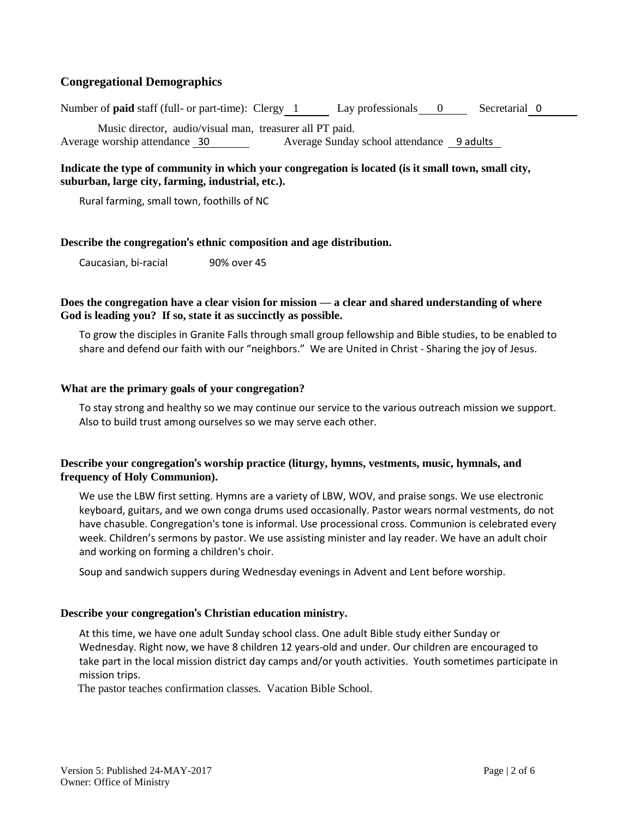## **Congregational Demographics**

Number of **paid** staff (full- or part-time): Clergy 1 Lay professionals 0 Secretarial 0 Music director, audio/visual man, treasurer all PT paid. Average worship attendance 30 Average Sunday school attendance 9 adults

#### **Indicate the type of community in which your congregation is located (is it small town, small city, suburban, large city, farming, industrial, etc.).**

Rural farming, small town, foothills of NC

#### **Describe the congregation**'**s ethnic composition and age distribution.**

Caucasian, bi-racial 90% over 45

#### **Does the congregation have a clear vision for mission — a clear and shared understanding of where God is leading you? If so, state it as succinctly as possible.**

To grow the disciples in Granite Falls through small group fellowship and Bible studies, to be enabled to share and defend our faith with our "neighbors." We are United in Christ - Sharing the joy of Jesus.

#### **What are the primary goals of your congregation?**

To stay strong and healthy so we may continue our service to the various outreach mission we support. Also to build trust among ourselves so we may serve each other.

#### **Describe your congregation**'**s worship practice (liturgy, hymns, vestments, music, hymnals, and frequency of Holy Communion).**

We use the LBW first setting. Hymns are a variety of LBW, WOV, and praise songs. We use electronic keyboard, guitars, and we own conga drums used occasionally. Pastor wears normal vestments, do not have chasuble. Congregation's tone is informal. Use processional cross. Communion is celebrated every week. Children's sermons by pastor. We use assisting minister and lay reader. We have an adult choir and working on forming a children's choir.

Soup and sandwich suppers during Wednesday evenings in Advent and Lent before worship.

#### **Describe your congregation**'**s Christian education ministry.**

At this time, we have one adult Sunday school class. One adult Bible study either Sunday or Wednesday. Right now, we have 8 children 12 years-old and under. Our children are encouraged to take part in the local mission district day camps and/or youth activities. Youth sometimes participate in mission trips.

The pastor teaches confirmation classes. Vacation Bible School.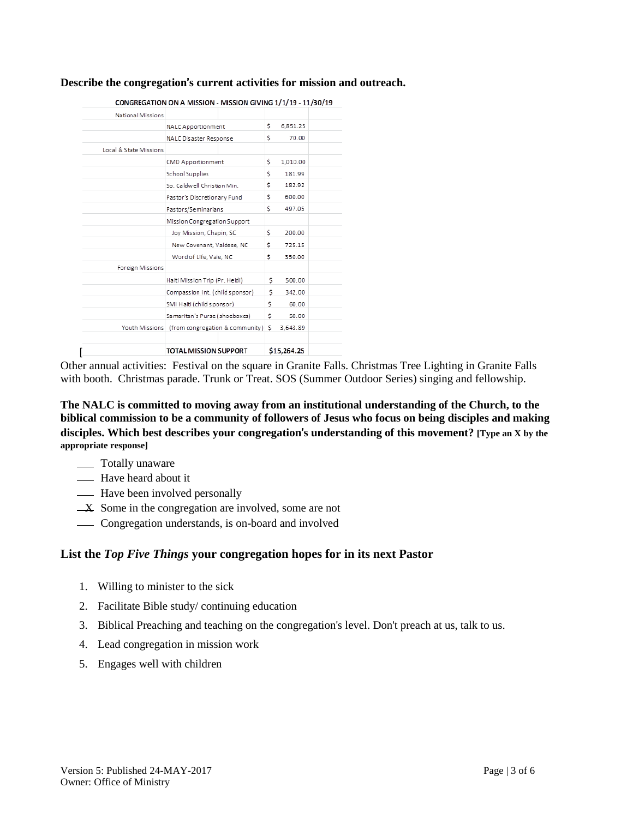#### **Describe the congregation**'**s current activities for mission and outreach.**

|                        | CONGREGATION ON A MISSION - MISSION GIVING 1/1/19 - 11/30/19 |  |     |             |  |
|------------------------|--------------------------------------------------------------|--|-----|-------------|--|
| National Missions      |                                                              |  |     |             |  |
|                        | NALC Apportionment                                           |  | \$  | 6,851.25    |  |
|                        | NALC Disaster Response                                       |  | \$  | 70.00       |  |
| Local & State Missions |                                                              |  |     |             |  |
|                        | CMD Apportionment                                            |  | \$  | 1,010.00    |  |
|                        | School Supplies                                              |  | \$  | 181.99      |  |
|                        | So. Caldwell Christian Min.                                  |  | \$  | 182.92      |  |
|                        | Pastor's Discretionary Fund                                  |  | \$  | 600.00      |  |
|                        | Pastors/Seminarians                                          |  | \$  | 497.05      |  |
|                        | Mission Congregation Support                                 |  |     |             |  |
|                        | Joy Mission, Chapin, SC                                      |  | \$  | 200.00      |  |
|                        | New Covenant, Valdese, NC                                    |  | \$  | 725.15      |  |
|                        | Word of Life, Vale, NC                                       |  | \$  | 350.00      |  |
| Foreign Missions       |                                                              |  |     |             |  |
|                        | Haiti Mission Trip (Pr. Heidi)                               |  | \$. | 500.00      |  |
|                        | Compassion Int. (child sponsor)                              |  | \$  | 342.00      |  |
|                        | SMI Haiti (child sponsor)                                    |  | Ś.  | 60.00       |  |
|                        | Samaritan's Purse (shoeboxes)                                |  | Ś   | 50.00       |  |
| Youth Missions         | (from congregation & community)                              |  | Ś.  | 3,643.89    |  |
|                        |                                                              |  |     |             |  |
|                        | <b>TOTAL MISSION SUPPORT</b>                                 |  |     | \$15,264.25 |  |

Other annual activities: Festival on the square in Granite Falls. Christmas Tree Lighting in Granite Falls with booth. Christmas parade. Trunk or Treat. SOS (Summer Outdoor Series) singing and fellowship.

**The NALC is committed to moving away from an institutional understanding of the Church, to the biblical commission to be a community of followers of Jesus who focus on being disciples and making disciples. Which best describes your congregation**'**s understanding of this movement? [Type an X by the appropriate response]**

- \_\_ Totally unaware
- **Have heard about it**
- Have been involved personally
- X Some in the congregation are involved, some are not
- Congregation understands, is on-board and involved

#### **List the** *Top Five Things* **your congregation hopes for in its next Pastor**

- 1. Willing to minister to the sick
- 2. Facilitate Bible study/ continuing education
- 3. Biblical Preaching and teaching on the congregation's level. Don't preach at us, talk to us.
- 4. Lead congregation in mission work
- 5. Engages well with children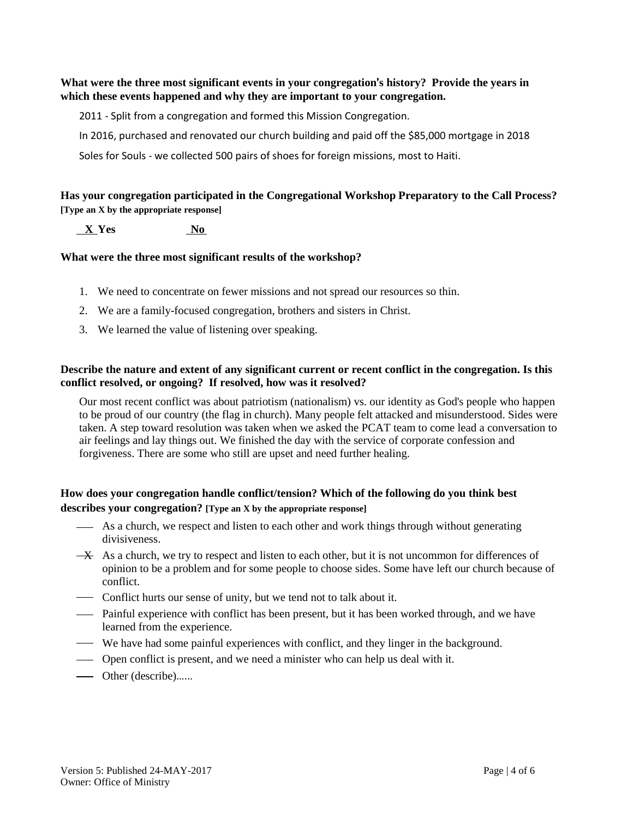**What were the three most significant events in your congregation**'**s history? Provide the years in which these events happened and why they are important to your congregation.**

2011 - Split from a congregation and formed this Mission Congregation.

In 2016, purchased and renovated our church building and paid off the \$85,000 mortgage in 2018

Soles for Souls - we collected 500 pairs of shoes for foreign missions, most to Haiti.

**Has your congregation participated in the Congregational Workshop Preparatory to the Call Process? [Type an X by the appropriate response]**

 **X Yes No**

#### **What were the three most significant results of the workshop?**

- 1. We need to concentrate on fewer missions and not spread our resources so thin.
- 2. We are a family-focused congregation, brothers and sisters in Christ.
- 3. We learned the value of listening over speaking.

#### **Describe the nature and extent of any significant current or recent conflict in the congregation. Is this conflict resolved, or ongoing? If resolved, how was it resolved?**

Our most recent conflict was about patriotism (nationalism) vs. our identity as God's people who happen to be proud of our country (the flag in church). Many people felt attacked and misunderstood. Sides were taken. A step toward resolution was taken when we asked the PCAT team to come lead a conversation to air feelings and lay things out. We finished the day with the service of corporate confession and forgiveness. There are some who still are upset and need further healing.

#### **How does your congregation handle conflict/tension? Which of the following do you think best describes your congregation? [Type an X by the appropriate response]**

- As a church, we respect and listen to each other and work things through without generating divisiveness.
- $\overrightarrow{+}$  As a church, we try to respect and listen to each other, but it is not uncommon for differences of opinion to be a problem and for some people to choose sides. Some have left our church because of conflict.
- Conflict hurts our sense of unity, but we tend not to talk about it.
- Painful experience with conflict has been present, but it has been worked through, and we have learned from the experience.
- We have had some painful experiences with conflict, and they linger in the background.
- Open conflict is present, and we need a minister who can help us deal with it.
- Other (describe)…...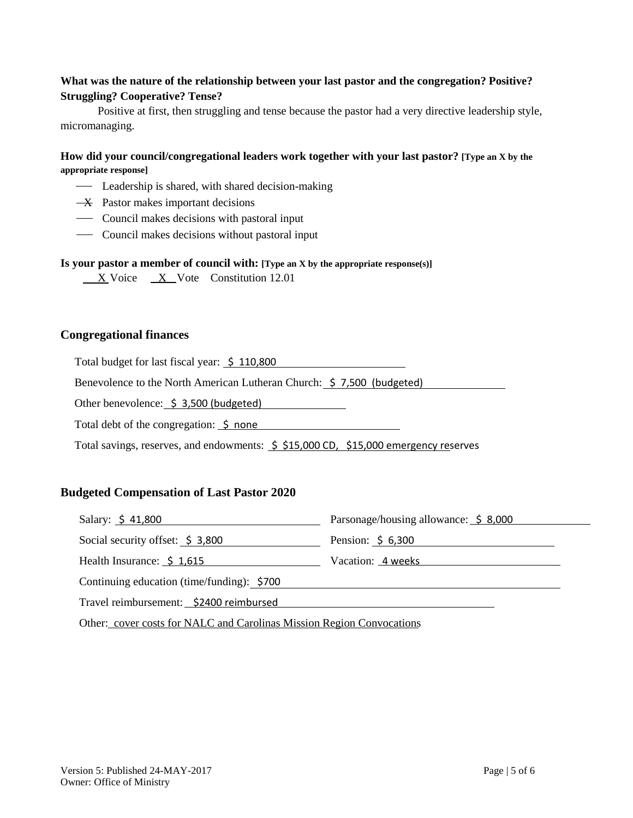## **What was the nature of the relationship between your last pastor and the congregation? Positive? Struggling? Cooperative? Tense?**

Positive at first, then struggling and tense because the pastor had a very directive leadership style, micromanaging.

#### **How did your council/congregational leaders work together with your last pastor? [Type an X by the appropriate response]**

- Leadership is shared, with shared decision-making
- $\overline{\mathbf{X}}$  Pastor makes important decisions
- Council makes decisions with pastoral input
- Council makes decisions without pastoral input

#### **Is your pastor a member of council with: [Type an X by the appropriate response(s)]**

 $X$  Voice  $X$  Vote Constitution 12.01

#### **Congregational finances**

Total budget for last fiscal year:  $\frac{10,800}{10,800}$ 

Benevolence to the North American Lutheran Church: \$ 7,500 (budgeted)

Other benevolence:  $\frac{2}{3}$ , 3,500 (budgeted)

Total debt of the congregation:  $\frac{1}{5}$  none

Total savings, reserves, and endowments:  $\frac{5}{5}$  \$15,000 CD, \$15,000 emergency reserves

#### **Budgeted Compensation of Last Pastor 2020**

| Salary: $\frac{2}{3}$ 41,800                | Parsonage/housing allowance: \$8,000 |
|---------------------------------------------|--------------------------------------|
| Social security offset: $\frac{1}{2}$ 3,800 | Pension: $\frac{2}{3}$ 6,300         |
| Health Insurance: \$1,615                   | Vacation: 4 weeks                    |
| Continuing education (time/funding): \$700  |                                      |
| Travel reimbursement: _\$2400 reimbursed    |                                      |

Other: cover costs for NALC and Carolinas Mission Region Convocations